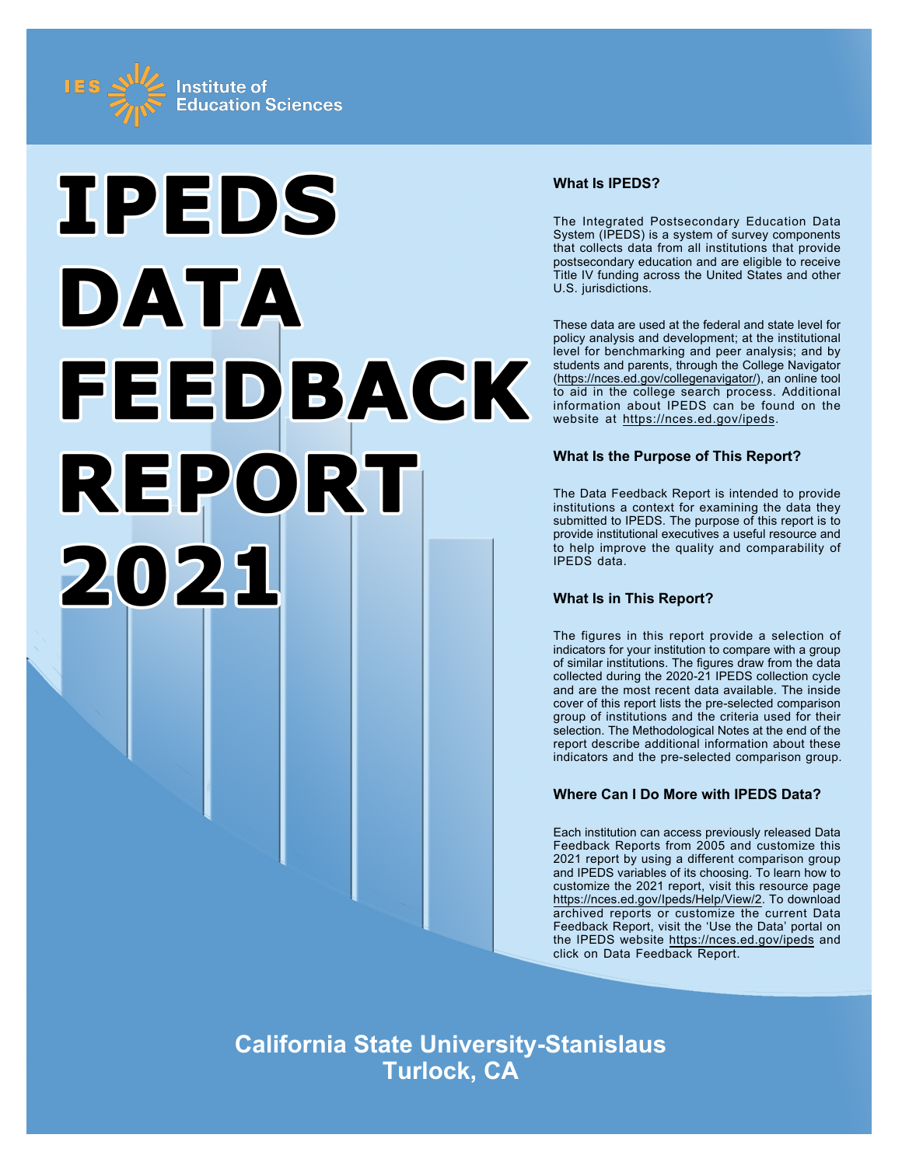



## **What Is IPEDS?**

The Integrated Postsecondary Education Data System (IPEDS) is a system of survey components that collects data from all institutions that provide postsecondary education and are eligible to receive Title IV funding across the United States and other U.S. jurisdictions.

These data are used at the federal and state level for policy analysis and development; at the institutional level for benchmarking and peer analysis; and by students and parents, through the College Navigator ([https://nces.ed.gov/collegenavigator/\)](https://nces.ed.gov/collegenavigator/), an online tool to aid in the college search process. Additional information about IPEDS can be found on the website at<https://nces.ed.gov/ipeds>.

## **What Is the Purpose of This Report?**

The Data Feedback Report is intended to provide institutions a context for examining the data they submitted to IPEDS. The purpose of this report is to provide institutional executives a useful resource and to help improve the quality and comparability of IPEDS data.

## **What Is in This Report?**

The figures in this report provide a selection of indicators for your institution to compare with a group of similar institutions. The figures draw from the data collected during the 2020-21 IPEDS collection cycle and are the most recent data available. The inside cover of this report lists the pre-selected comparison group of institutions and the criteria used for their selection. The Methodological Notes at the end of the report describe additional information about these indicators and the pre-selected comparison group.

## **Where Can I Do More with IPEDS Data?**

Each institution can access previously released Data Feedback Reports from 2005 and customize this 2021 report by using a different comparison group and IPEDS variables of its choosing. To learn how to customize the 2021 report, visit this resource page <https://nces.ed.gov/Ipeds/Help/View/2>. To download archived reports or customize the current Data Feedback Report, visit the 'Use the Data' portal on the IPEDS website<https://nces.ed.gov/ipeds> and click on Data Feedback Report.

**California State University-Stanislaus Turlock, CA**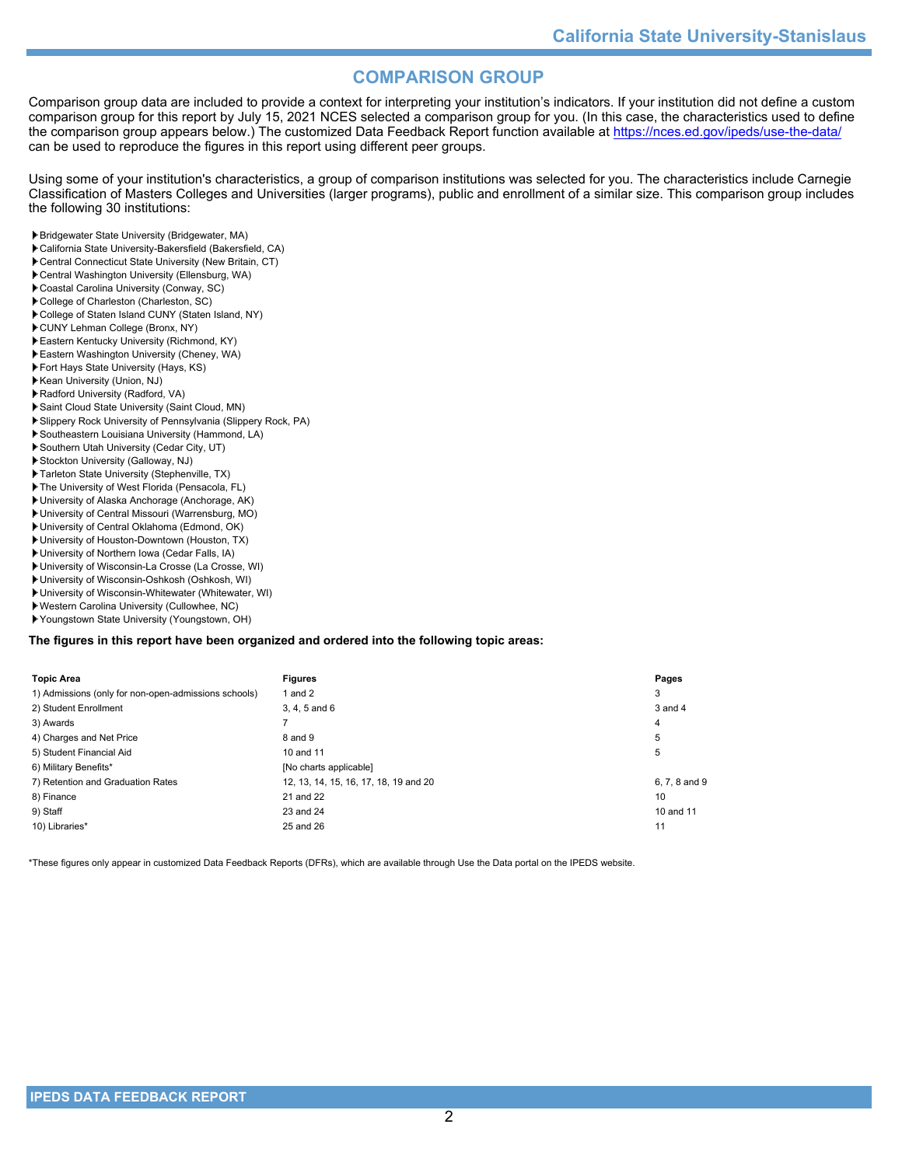# **COMPARISON GROUP**

Comparison group data are included to provide a context for interpreting your institution's indicators. If your institution did not define a custom comparison group for this report by July 15, 2021 NCES selected a comparison group for you. (In this case, the characteristics used to define the comparison group appears below.) The customized Data Feedback Report function available at<https://nces.ed.gov/ipeds/use-the-data/> can be used to reproduce the figures in this report using different peer groups.

Using some of your institution's characteristics, a group of comparison institutions was selected for you. The characteristics include Carnegie Classification of Masters Colleges and Universities (larger programs), public and enrollment of a similar size. This comparison group includes the following 30 institutions:

- Bridgewater State University (Bridgewater, MA)
- California State University-Bakersfield (Bakersfield, CA)
- Central Connecticut State University (New Britain, CT)
- Central Washington University (Ellensburg, WA)
- Coastal Carolina University (Conway, SC)
- College of Charleston (Charleston, SC)
- College of Staten Island CUNY (Staten Island, NY)
- CUNY Lehman College (Bronx, NY)
- Eastern Kentucky University (Richmond, KY)
- Eastern Washington University (Cheney, WA)
- Fort Hays State University (Hays, KS) Kean University (Union, NJ)
- Radford University (Radford, VA)
- Saint Cloud State University (Saint Cloud, MN)
- Slippery Rock University of Pennsylvania (Slippery Rock, PA)
- Southeastern Louisiana University (Hammond, LA)
- Southern Utah University (Cedar City, UT)
- Stockton University (Galloway, NJ)
- Tarleton State University (Stephenville, TX)
- The University of West Florida (Pensacola, FL)
- University of Alaska Anchorage (Anchorage, AK)
- University of Central Missouri (Warrensburg, MO)
- University of Central Oklahoma (Edmond, OK)
- University of Houston-Downtown (Houston, TX)
- University of Northern Iowa (Cedar Falls, IA)
- University of Wisconsin-La Crosse (La Crosse, WI)
- University of Wisconsin-Oshkosh (Oshkosh, WI)
- University of Wisconsin-Whitewater (Whitewater, WI)
- Western Carolina University (Cullowhee, NC)
- Youngstown State University (Youngstown, OH)

#### **The figures in this report have been organized and ordered into the following topic areas:**

| <b>Topic Area</b>                                    | <b>Figures</b>                        | Pages         |
|------------------------------------------------------|---------------------------------------|---------------|
| 1) Admissions (only for non-open-admissions schools) | 1 and $2$                             | 3             |
| 2) Student Enrollment                                | 3, 4, 5 and 6                         | 3 and 4       |
| 3) Awards                                            |                                       | 4             |
| 4) Charges and Net Price                             | 8 and 9                               | 5             |
| 5) Student Financial Aid                             | 10 and 11                             | 5             |
| 6) Military Benefits*                                | [No charts applicable]                |               |
| 7) Retention and Graduation Rates                    | 12, 13, 14, 15, 16, 17, 18, 19 and 20 | 6, 7, 8 and 9 |
| 8) Finance                                           | 21 and 22                             | 10            |
| 9) Staff                                             | 23 and 24                             | 10 and 11     |
| 10) Libraries*                                       | 25 and 26                             | 11            |

\*These figures only appear in customized Data Feedback Reports (DFRs), which are available through Use the Data portal on the IPEDS website.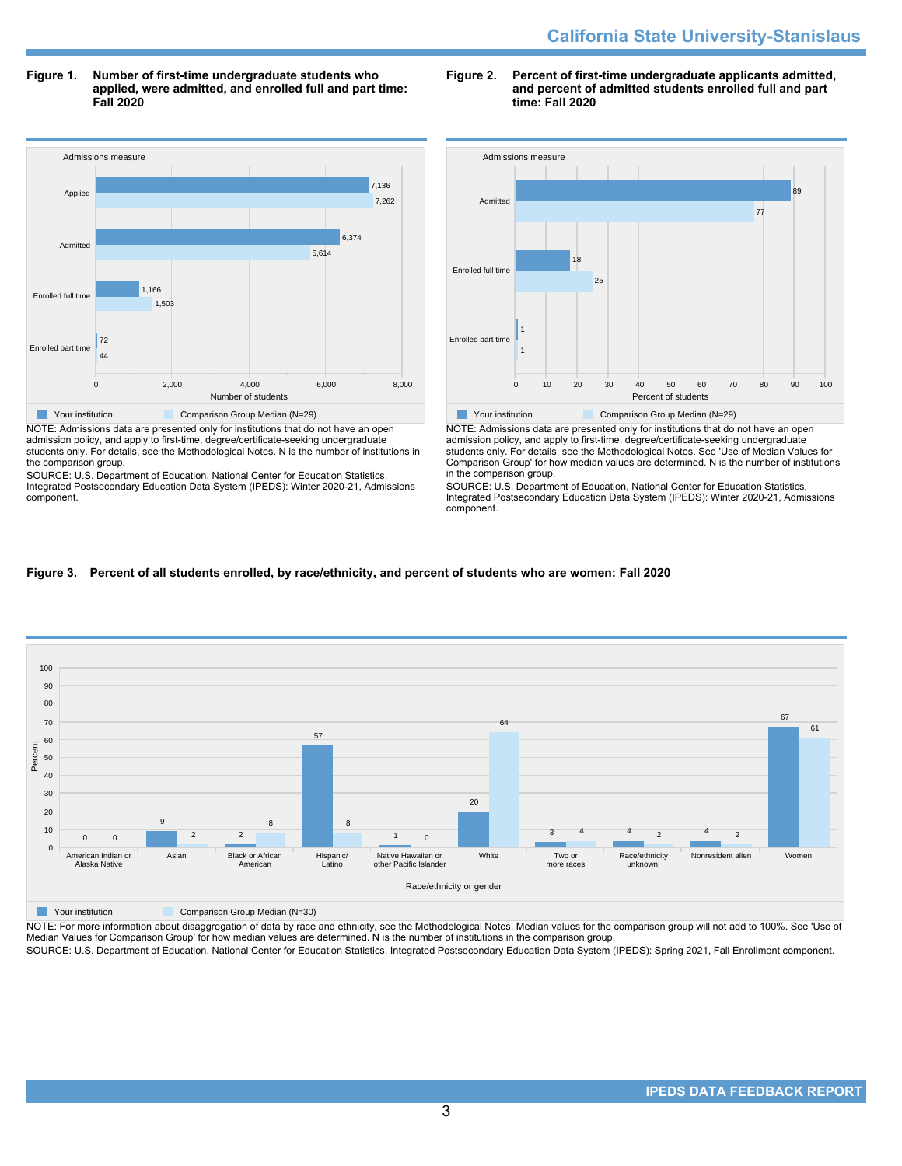**Figure 1. Number of first-time undergraduate students who applied, were admitted, and enrolled full and part time: Fall 2020**



NOTE: Admissions data are presented only for institutions that do not have an open admission policy, and apply to first-time, degree/certificate-seeking undergraduate students only. For details, see the Methodological Notes. N is the number of institutions in the comparison group.

SOURCE: U.S. Department of Education, National Center for Education Statistics, Integrated Postsecondary Education Data System (IPEDS): Winter 2020-21, Admissions component.

### **Figure 2. Percent of first-time undergraduate applicants admitted, and percent of admitted students enrolled full and part time: Fall 2020**



NOTE: Admissions data are presented only for institutions that do not have an open admission policy, and apply to first-time, degree/certificate-seeking undergraduate students only. For details, see the Methodological Notes. See 'Use of Median Values for Comparison Group' for how median values are determined. N is the number of institutions in the comparison group.

SOURCE: U.S. Department of Education, National Center for Education Statistics, Integrated Postsecondary Education Data System (IPEDS): Winter 2020-21, Admissions component.

## **Figure 3. Percent of all students enrolled, by race/ethnicity, and percent of students who are women: Fall 2020**



**The Comparison Group Median (N=30)** Comparison Group Median (N=30)

NOTE: For more information about disaggregation of data by race and ethnicity, see the Methodological Notes. Median values for the comparison group will not add to 100%. See 'Use of Median Values for Comparison Group' for how median values are determined. N is the number of institutions in the comparison group.

SOURCE: U.S. Department of Education, National Center for Education Statistics, Integrated Postsecondary Education Data System (IPEDS): Spring 2021, Fall Enrollment component.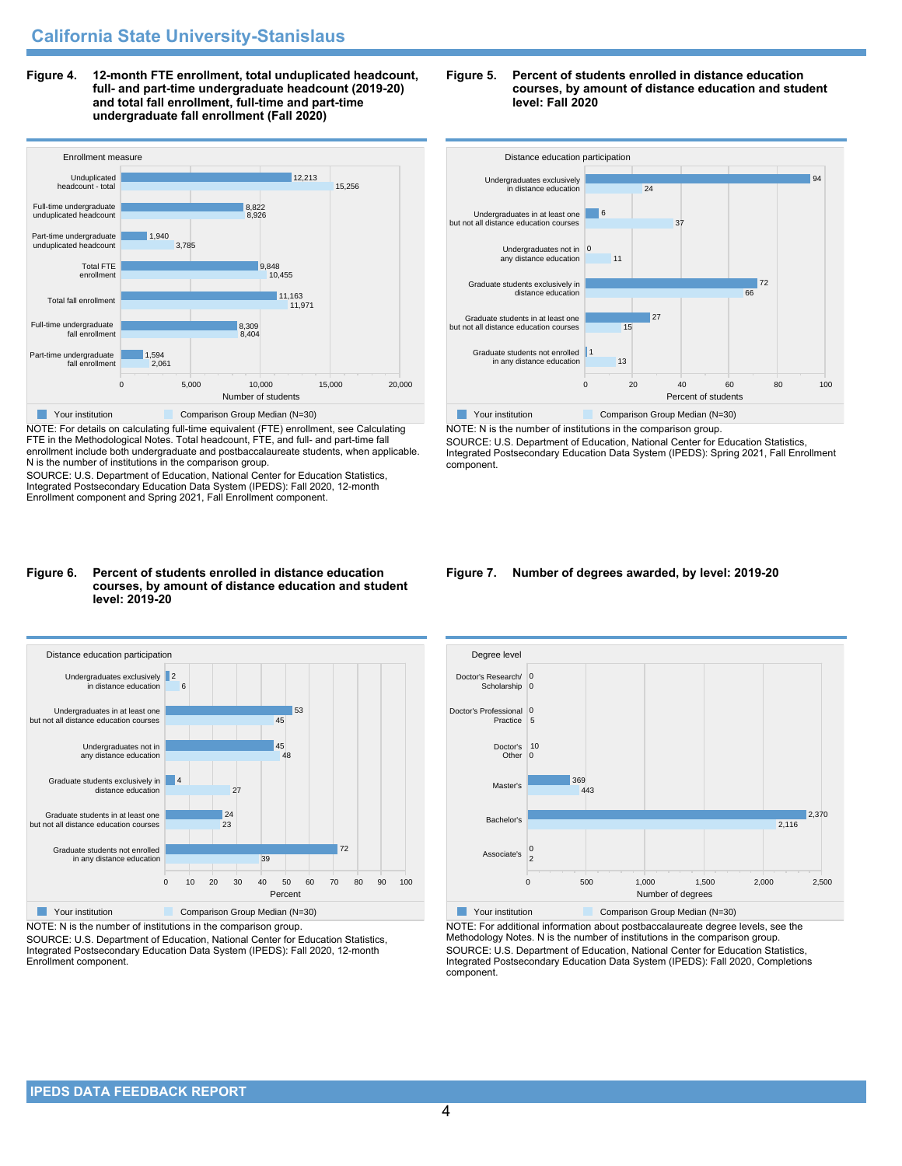**Figure 4. 12-month FTE enrollment, total unduplicated headcount, full- and part-time undergraduate headcount (2019-20) and total fall enrollment, full-time and part-time undergraduate fall enrollment (Fall 2020)**



NOTE: For details on calculating full-time equivalent (FTE) enrollment, see Calculating FTE in the Methodological Notes. Total headcount, FTE, and full- and part-time fall enrollment include both undergraduate and postbaccalaureate students, when applicable. N is the number of institutions in the comparison group.

SOURCE: U.S. Department of Education, National Center for Education Statistics, Integrated Postsecondary Education Data System (IPEDS): Fall 2020, 12-month Enrollment component and Spring 2021, Fall Enrollment component.

### **Figure 6. Percent of students enrolled in distance education courses, by amount of distance education and student level: 2019-20**



NOTE: N is the number of institutions in the comparison group.

SOURCE: U.S. Department of Education, National Center for Education Statistics, Integrated Postsecondary Education Data System (IPEDS): Fall 2020, 12-month Enrollment component.

### **Figure 5. Percent of students enrolled in distance education courses, by amount of distance education and student level: Fall 2020**



NOTE: N is the number of institutions in the comparison group. SOURCE: U.S. Department of Education, National Center for Education Statistics, Integrated Postsecondary Education Data System (IPEDS): Spring 2021, Fall Enrollment component.

### **Figure 7. Number of degrees awarded, by level: 2019-20**



NOTE: For additional information about postbaccalaureate degree levels, see the Methodology Notes. N is the number of institutions in the comparison group. SOURCE: U.S. Department of Education, National Center for Education Statistics, Integrated Postsecondary Education Data System (IPEDS): Fall 2020, Completions component.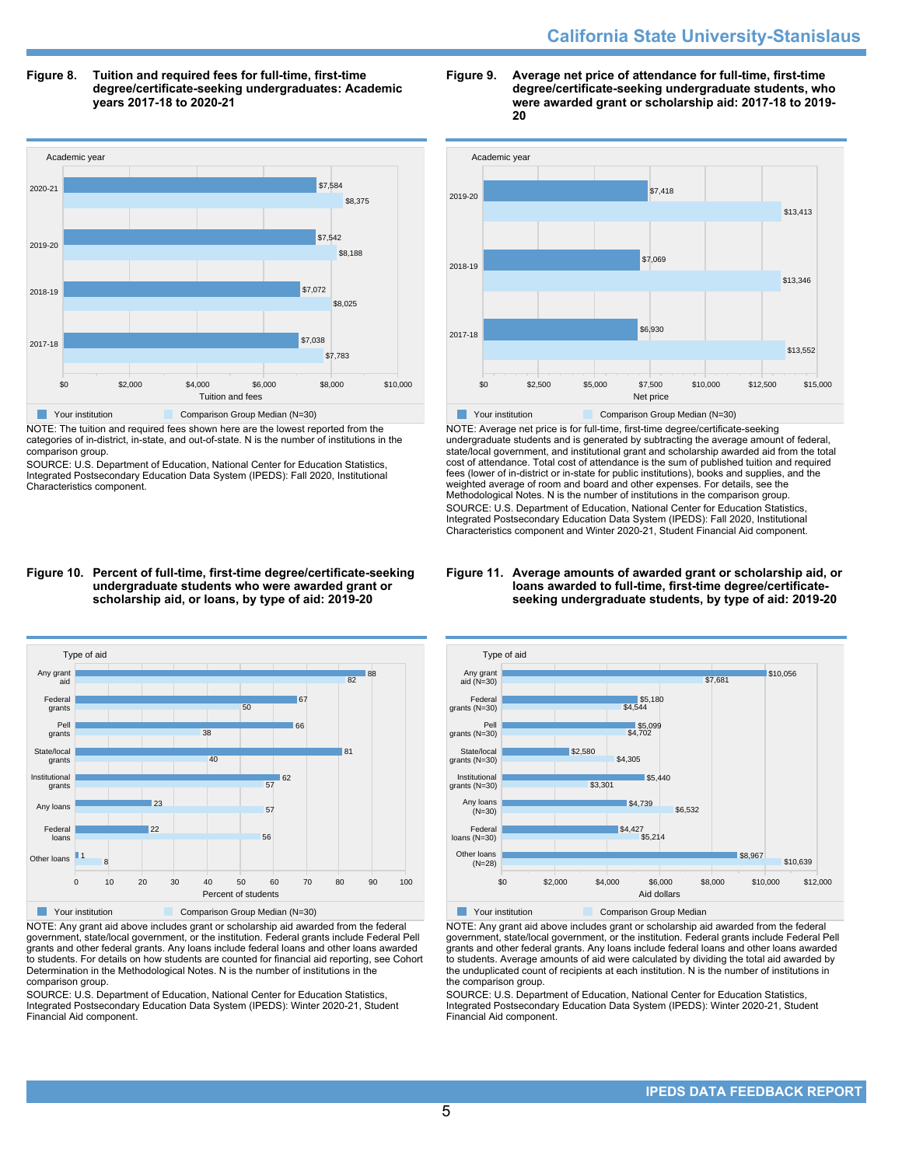# **California State University-Stanislaus**

### **Figure 8. Tuition and required fees for full-time, first-time degree/certificate-seeking undergraduates: Academic years 2017-18 to 2020-21**



NOTE: The tuition and required fees shown here are the lowest reported from the categories of in-district, in-state, and out-of-state. N is the number of institutions in the comparison group.

SOURCE: U.S. Department of Education, National Center for Education Statistics, Integrated Postsecondary Education Data System (IPEDS): Fall 2020, Institutional Characteristics component.

#### **Figure 9. Average net price of attendance for full-time, first-time degree/certificate-seeking undergraduate students, who were awarded grant or scholarship aid: 2017-18 to 2019- 20**



NOTE: Average net price is for full-time, first-time degree/certificate-seeking undergraduate students and is generated by subtracting the average amount of federal, state/local government, and institutional grant and scholarship awarded aid from the total cost of attendance. Total cost of attendance is the sum of published tuition and required fees (lower of in-district or in-state for public institutions), books and supplies, and the weighted average of room and board and other expenses. For details, see the Methodological Notes. N is the number of institutions in the comparison group. SOURCE: U.S. Department of Education, National Center for Education Statistics, Integrated Postsecondary Education Data System (IPEDS): Fall 2020, Institutional Characteristics component and Winter 2020-21, Student Financial Aid component.

### **Figure 11. Average amounts of awarded grant or scholarship aid, or loans awarded to full-time, first-time degree/certificateseeking undergraduate students, by type of aid: 2019-20**



NOTE: Any grant aid above includes grant or scholarship aid awarded from the federal government, state/local government, or the institution. Federal grants include Federal Pell grants and other federal grants. Any loans include federal loans and other loans awarded to students. For details on how students are counted for financial aid reporting, see Cohort Determination in the Methodological Notes. N is the number of institutions in the comparison group.

SOURCE: U.S. Department of Education, National Center for Education Statistics, Integrated Postsecondary Education Data System (IPEDS): Winter 2020-21, Student Financial Aid component.



NOTE: Any grant aid above includes grant or scholarship aid awarded from the federal government, state/local government, or the institution. Federal grants include Federal Pell grants and other federal grants. Any loans include federal loans and other loans awarded to students. Average amounts of aid were calculated by dividing the total aid awarded by the unduplicated count of recipients at each institution. N is the number of institutions in the comparison group.

SOURCE: U.S. Department of Education, National Center for Education Statistics, Integrated Postsecondary Education Data System (IPEDS): Winter 2020-21, Student Financial Aid component.

## **Figure 10. Percent of full-time, first-time degree/certificate-seeking undergraduate students who were awarded grant or scholarship aid, or loans, by type of aid: 2019-20**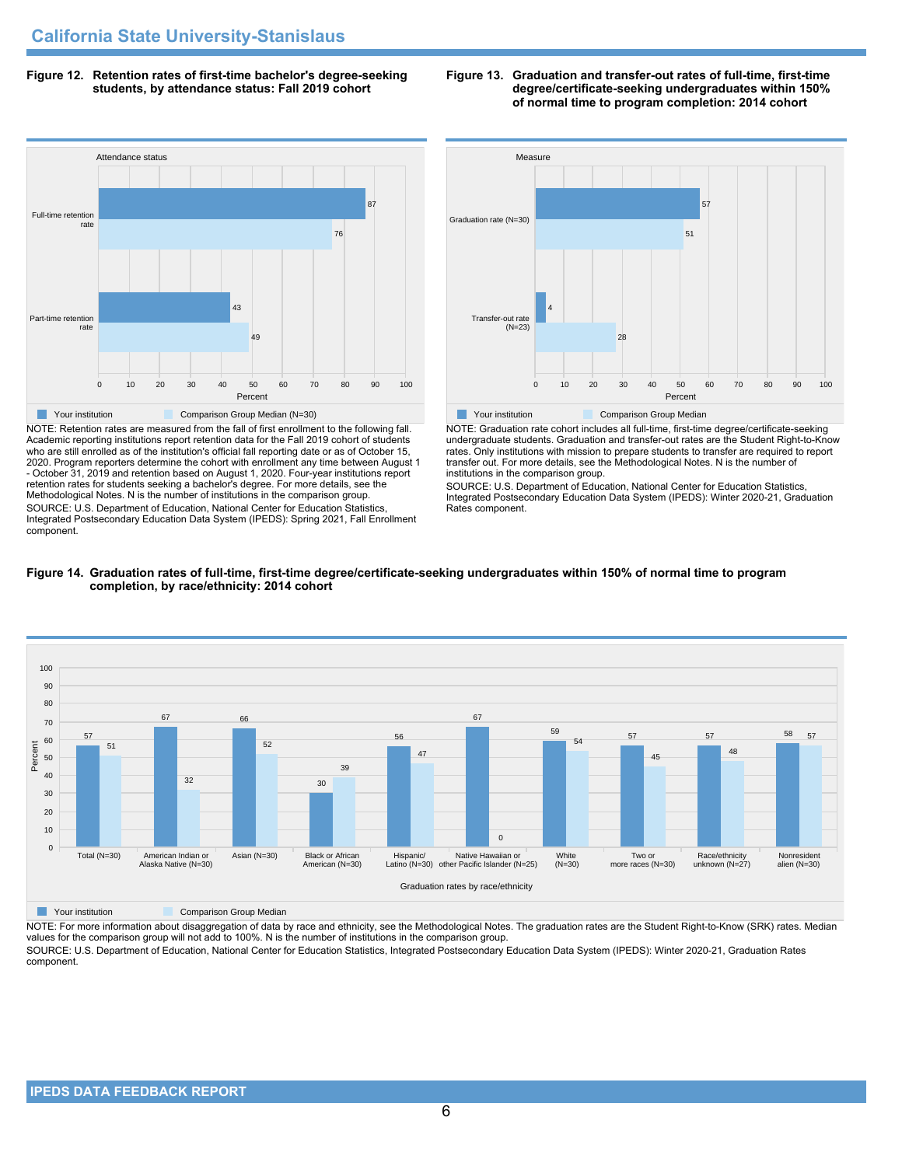**Figure 12. Retention rates of first-time bachelor's degree-seeking students, by attendance status: Fall 2019 cohort**



NOTE: Retention rates are measured from the fall of first enrollment to the following fall. Academic reporting institutions report retention data for the Fall 2019 cohort of students who are still enrolled as of the institution's official fall reporting date or as of October 15, 2020. Program reporters determine the cohort with enrollment any time between August 1 - October 31, 2019 and retention based on August 1, 2020. Four-year institutions report retention rates for students seeking a bachelor's degree. For more details, see the Methodological Notes. N is the number of institutions in the comparison group. SOURCE: U.S. Department of Education, National Center for Education Statistics, Integrated Postsecondary Education Data System (IPEDS): Spring 2021, Fall Enrollment component.



NOTE: Graduation rate cohort includes all full-time, first-time degree/certificate-seeking undergraduate students. Graduation and transfer-out rates are the Student Right-to-Know rates. Only institutions with mission to prepare students to transfer are required to report transfer out. For more details, see the Methodological Notes. N is the number of institutions in the comparison group.

SOURCE: U.S. Department of Education, National Center for Education Statistics, Integrated Postsecondary Education Data System (IPEDS): Winter 2020-21, Graduation Rates component.



## **Figure 14. Graduation rates of full-time, first-time degree/certificate-seeking undergraduates within 150% of normal time to program completion, by race/ethnicity: 2014 cohort**

**The Comparison Group Median** Comparison Group Median

NOTE: For more information about disaggregation of data by race and ethnicity, see the Methodological Notes. The graduation rates are the Student Right-to-Know (SRK) rates. Median values for the comparison group will not add to 100%. N is the number of institutions in the comparison group.

SOURCE: U.S. Department of Education, National Center for Education Statistics, Integrated Postsecondary Education Data System (IPEDS): Winter 2020-21, Graduation Rates component.

### **Figure 13. Graduation and transfer-out rates of full-time, first-time degree/certificate-seeking undergraduates within 150% of normal time to program completion: 2014 cohort**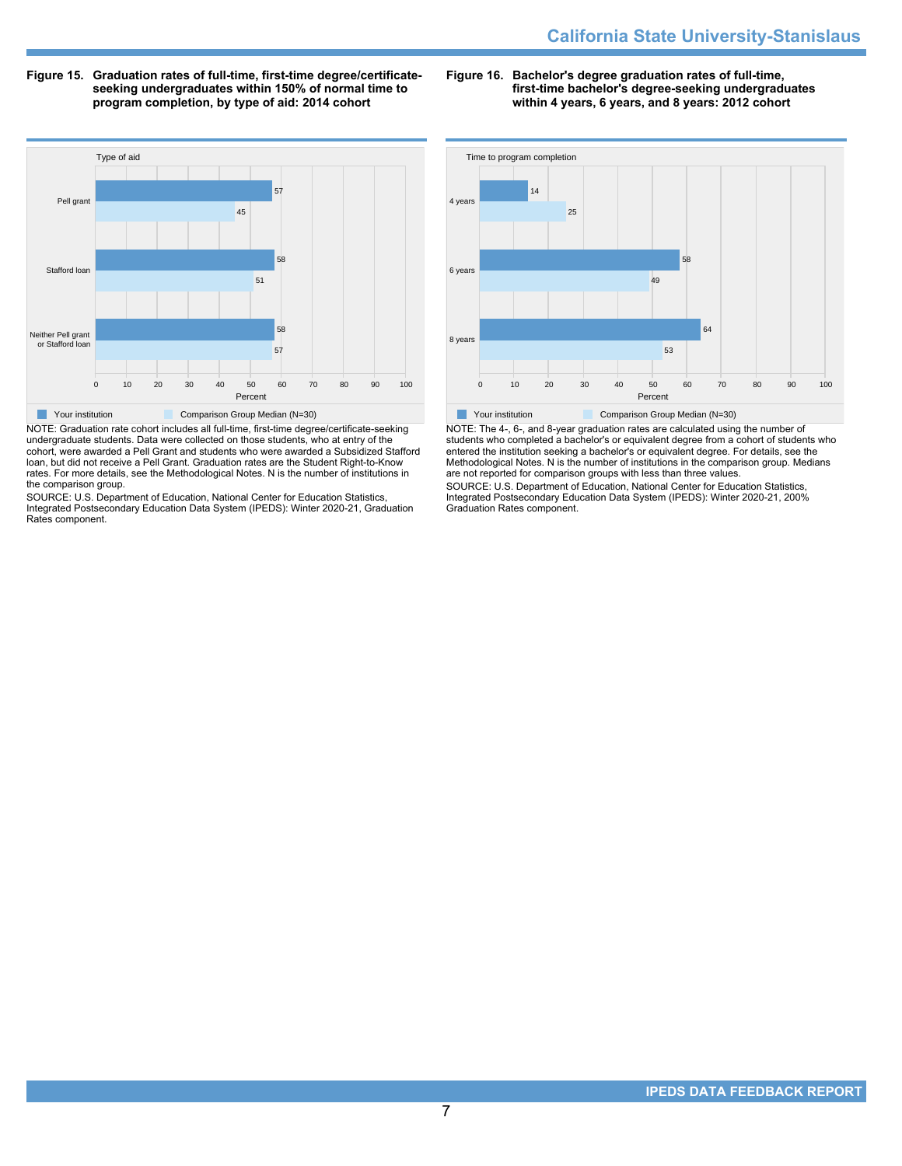**Figure 15. Graduation rates of full-time, first-time degree/certificateseeking undergraduates within 150% of normal time to program completion, by type of aid: 2014 cohort**

**Figure 16. Bachelor's degree graduation rates of full-time, first-time bachelor's degree-seeking undergraduates within 4 years, 6 years, and 8 years: 2012 cohort**



NOTE: Graduation rate cohort includes all full-time, first-time degree/certificate-seeking undergraduate students. Data were collected on those students, who at entry of the cohort, were awarded a Pell Grant and students who were awarded a Subsidized Stafford loan, but did not receive a Pell Grant. Graduation rates are the Student Right-to-Know rates. For more details, see the Methodological Notes. N is the number of institutions in the comparison group.

SOURCE: U.S. Department of Education, National Center for Education Statistics, Integrated Postsecondary Education Data System (IPEDS): Winter 2020-21, Graduation Rates component.



NOTE: The 4-, 6-, and 8-year graduation rates are calculated using the number of students who completed a bachelor's or equivalent degree from a cohort of students who entered the institution seeking a bachelor's or equivalent degree. For details, see the Methodological Notes. N is the number of institutions in the comparison group. Medians are not reported for comparison groups with less than three values.

SOURCE: U.S. Department of Education, National Center for Education Statistics, Integrated Postsecondary Education Data System (IPEDS): Winter 2020-21, 200% Graduation Rates component.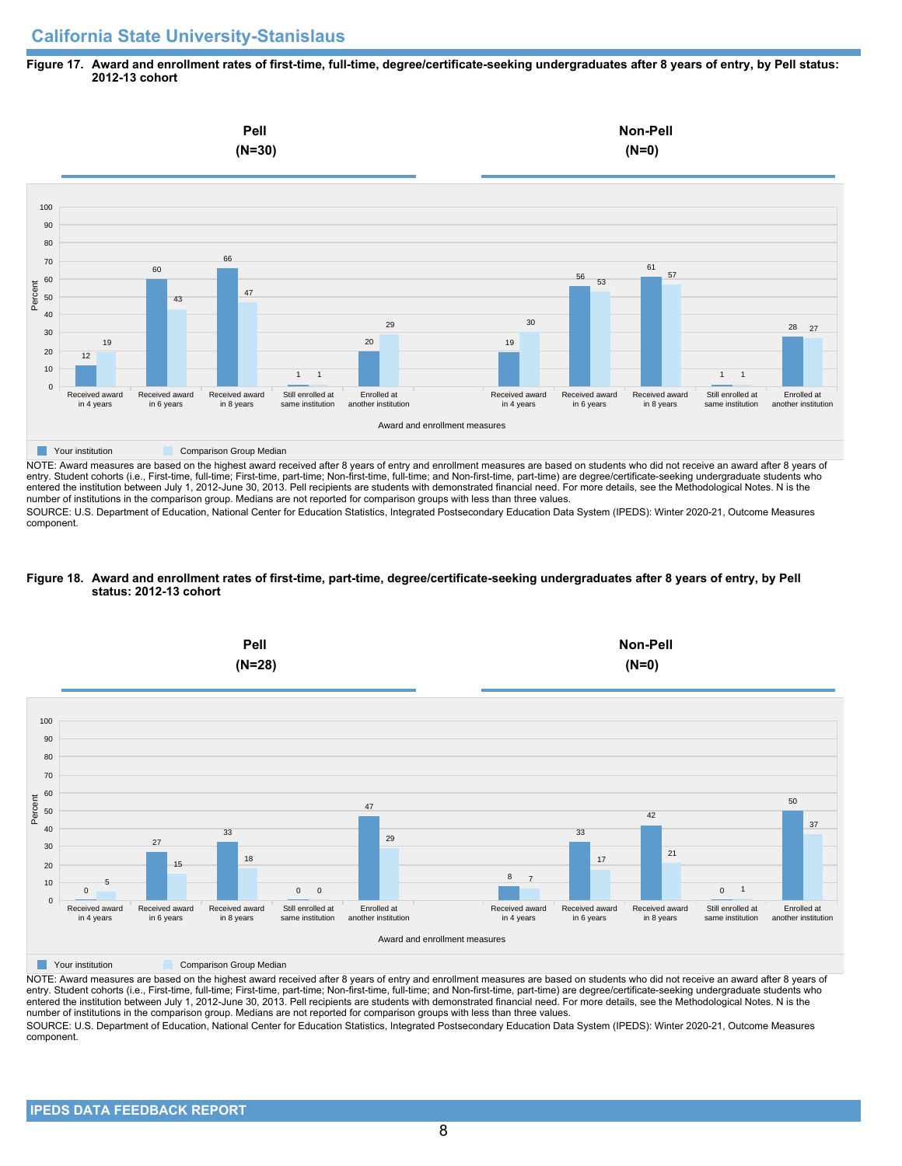# **California State University-Stanislaus**

### **Figure 17. Award and enrollment rates of first-time, full-time, degree/certificate-seeking undergraduates after 8 years of entry, by Pell status: 2012-13 cohort**



NOTE: Award measures are based on the highest award received after 8 years of entry and enrollment measures are based on students who did not receive an award after 8 years of entry. Student cohorts (i.e., First-time, full-time; First-time, part-time; Non-first-time, full-time; and Non-first-time, part-time) are degree/certificate-seeking undergraduate students who entered the institution between July 1, 2012-June 30, 2013. Pell recipients are students with demonstrated financial need. For more details, see the Methodological Notes. N is the number of institutions in the comparison group. Medians are not reported for comparison groups with less than three values.

SOURCE: U.S. Department of Education, National Center for Education Statistics, Integrated Postsecondary Education Data System (IPEDS): Winter 2020-21, Outcome Measures component.

### **Figure 18. Award and enrollment rates of first-time, part-time, degree/certificate-seeking undergraduates after 8 years of entry, by Pell status: 2012-13 cohort**



NOTE: Award measures are based on the highest award received after 8 years of entry and enrollment measures are based on students who did not receive an award after 8 years of entry. Student cohorts (i.e., First-time, full-time; First-time, part-time; Non-first-time, full-time; and Non-first-time, part-time) are degree/certificate-seeking undergraduate students who entered the institution between July 1, 2012-June 30, 2013. Pell recipients are students with demonstrated financial need. For more details, see the Methodological Notes. N is the number of institutions in the comparison group. Medians are not reported for comparison groups with less than three values. SOURCE: U.S. Department of Education, National Center for Education Statistics, Integrated Postsecondary Education Data System (IPEDS): Winter 2020-21, Outcome Measures component.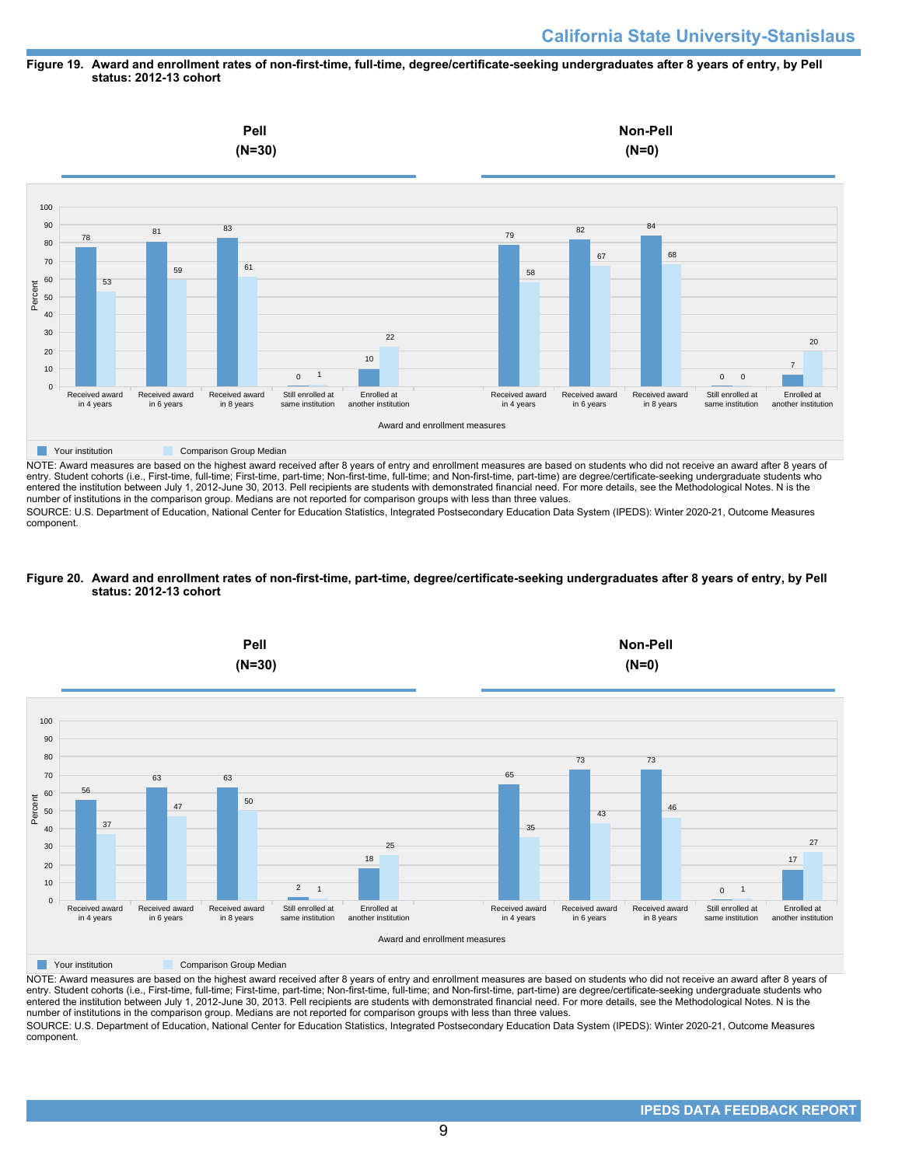### **Figure 19. Award and enrollment rates of non-first-time, full-time, degree/certificate-seeking undergraduates after 8 years of entry, by Pell status: 2012-13 cohort**



entry. Student cohorts (i.e., First-time, full-time; First-time, part-time; Non-first-time, full-time; and Non-first-time, part-time) are degree/certificate-seeking undergraduate students who entered the institution between July 1, 2012-June 30, 2013. Pell recipients are students with demonstrated financial need. For more details, see the Methodological Notes. N is the number of institutions in the comparison group. Medians are not reported for comparison groups with less than three values.

SOURCE: U.S. Department of Education, National Center for Education Statistics, Integrated Postsecondary Education Data System (IPEDS): Winter 2020-21, Outcome Measures component.

### **Figure 20. Award and enrollment rates of non-first-time, part-time, degree/certificate-seeking undergraduates after 8 years of entry, by Pell status: 2012-13 cohort**



NOTE: Award measures are based on the highest award received after 8 years of entry and enrollment measures are based on students who did not receive an award after 8 years of entry. Student cohorts (i.e., First-time, full-time; First-time, part-time; Non-first-time, full-time; and Non-first-time, part-time) are degree/certificate-seeking undergraduate students who entered the institution between July 1, 2012-June 30, 2013. Pell recipients are students with demonstrated financial need. For more details, see the Methodological Notes. N is the number of institutions in the comparison group. Medians are not reported for comparison groups with less than three values. SOURCE: U.S. Department of Education, National Center for Education Statistics, Integrated Postsecondary Education Data System (IPEDS): Winter 2020-21, Outcome Measures component.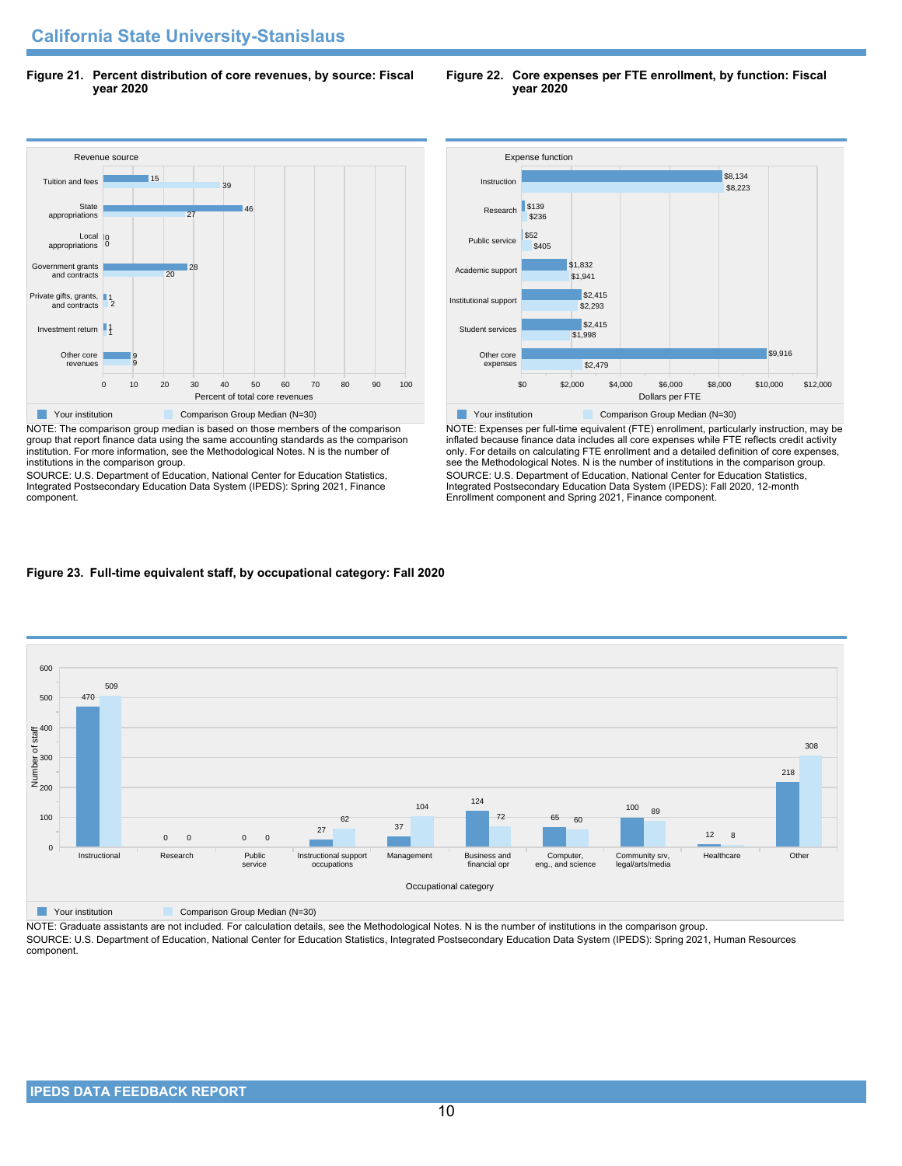**Figure 21. Percent distribution of core revenues, by source: Fiscal year 2020**

#### Revenue source 0 10 20 30 40 50 60 70 80 90 100 Percent of total core revenues Other core revenues Investment return 1 Private gifts, grants, 1<br>and contracts 2 Government grants and contracts Local appropriations **State** appropriations Tuition and fees 9 9  $\overline{20}$ 28 0 0 27 46  $39$ 15 **The Comparison Group Median (N=30)** Comparison Group Median (N=30)

NOTE: The comparison group median is based on those members of the comparison group that report finance data using the same accounting standards as the comparison institution. For more information, see the Methodological Notes. N is the number of institutions in the comparison group.

SOURCE: U.S. Department of Education, National Center for Education Statistics, Integrated Postsecondary Education Data System (IPEDS): Spring 2021, Finance component.



NOTE: Expenses per full-time equivalent (FTE) enrollment, particularly instruction, may be inflated because finance data includes all core expenses while FTE reflects credit activity only. For details on calculating FTE enrollment and a detailed definition of core expenses, see the Methodological Notes. N is the number of institutions in the comparison group. SOURCE: U.S. Department of Education, National Center for Education Statistics, Integrated Postsecondary Education Data System (IPEDS): Fall 2020, 12-month Enrollment component and Spring 2021, Finance component.

# **Figure 23. Full-time equivalent staff, by occupational category: Fall 2020**



**The Comparison Group Median (N=30)** Comparison Group Median (N=30)

NOTE: Graduate assistants are not included. For calculation details, see the Methodological Notes. N is the number of institutions in the comparison group. SOURCE: U.S. Department of Education, National Center for Education Statistics, Integrated Postsecondary Education Data System (IPEDS): Spring 2021, Human Resources component.

### **Figure 22. Core expenses per FTE enrollment, by function: Fiscal year 2020**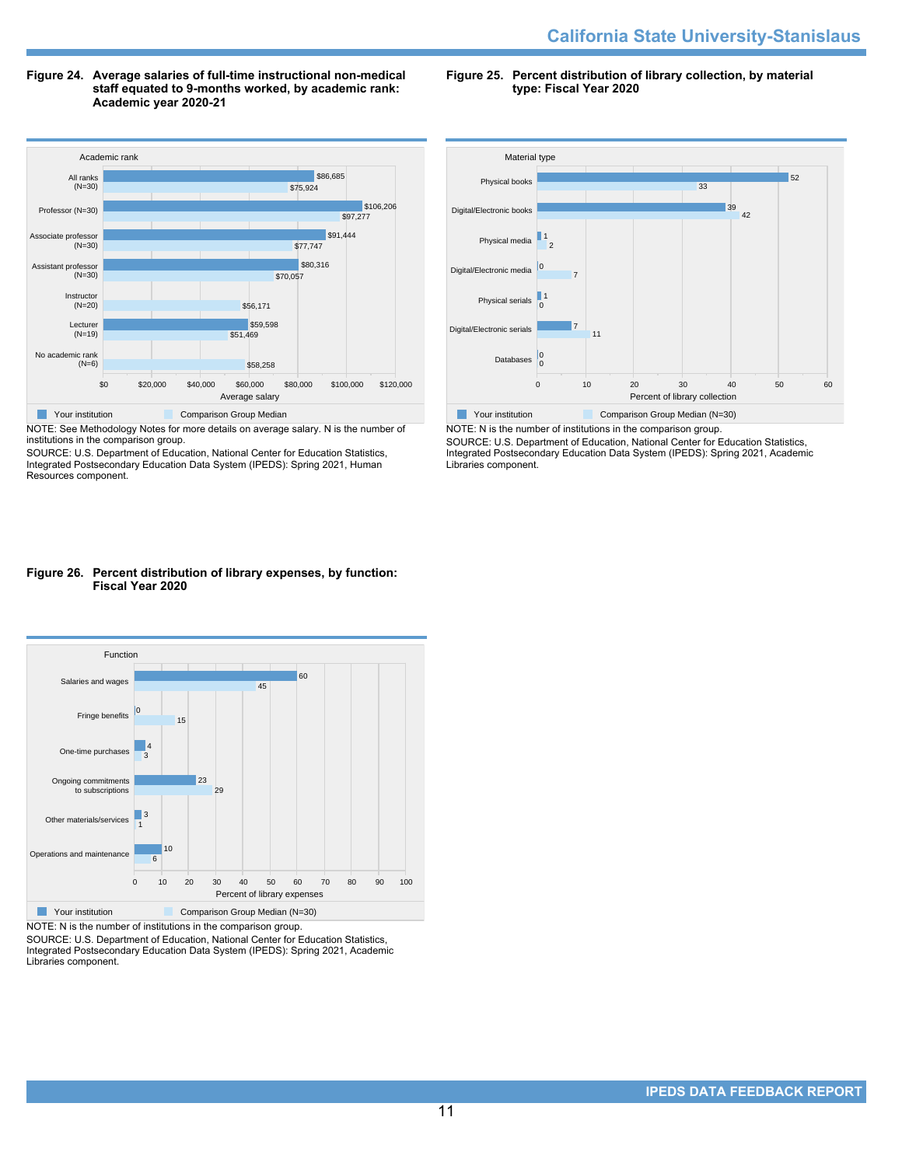**Figure 24. Average salaries of full-time instructional non-medical staff equated to 9-months worked, by academic rank: Academic year 2020-21**

**Figure 25. Percent distribution of library collection, by material type: Fiscal Year 2020**



NOTE: See Methodology Notes for more details on average salary. N is the number of institutions in the comparison group.

SOURCE: U.S. Department of Education, National Center for Education Statistics, Integrated Postsecondary Education Data System (IPEDS): Spring 2021, Human Resources component.



SOURCE: U.S. Department of Education, National Center for Education Statistics, Integrated Postsecondary Education Data System (IPEDS): Spring 2021, Academic Libraries component.

### **Figure 26. Percent distribution of library expenses, by function: Fiscal Year 2020**



NOTE: N is the number of institutions in the comparison group.

SOURCE: U.S. Department of Education, National Center for Education Statistics, Integrated Postsecondary Education Data System (IPEDS): Spring 2021, Academic Libraries component.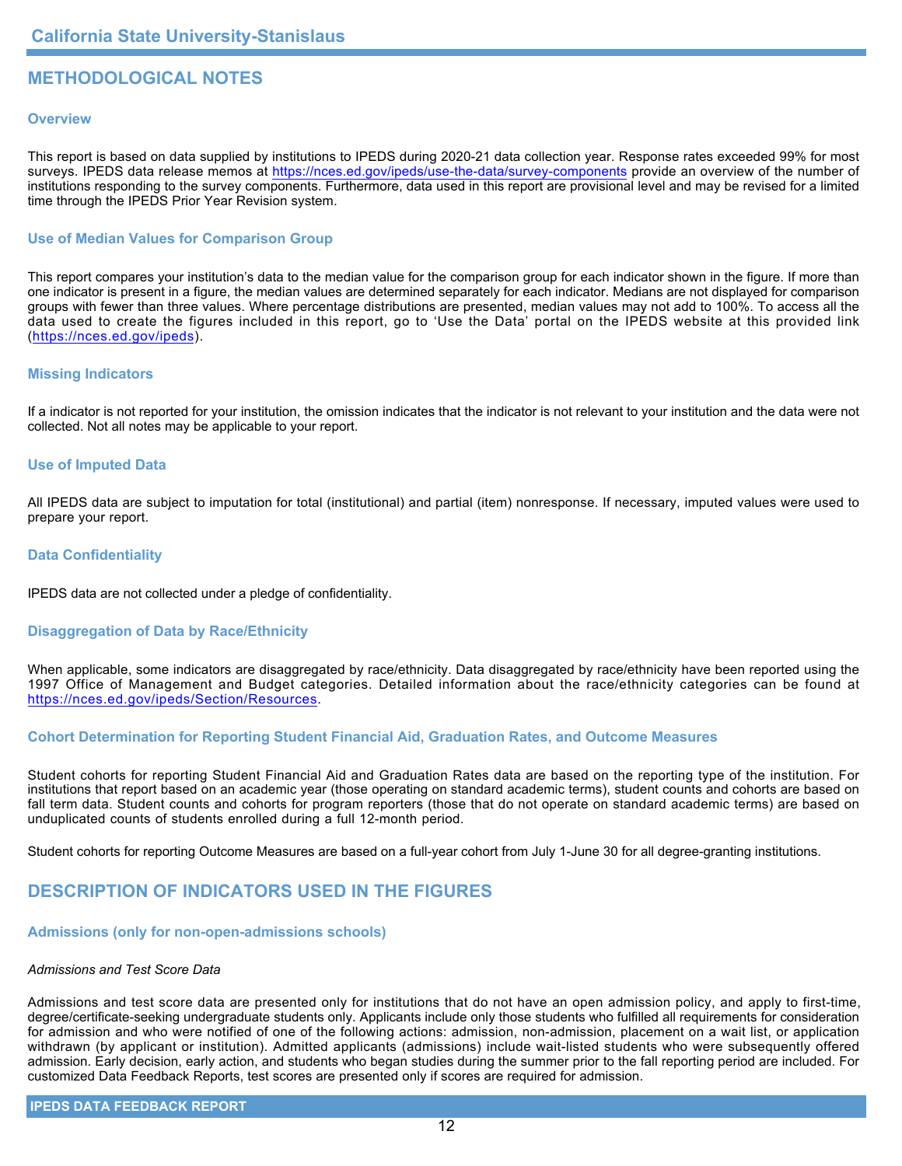# **METHODOLOGICAL NOTES**

## **Overview**

This report is based on data supplied by institutions to IPEDS during 2020-21 data collection year. Response rates exceeded 99% for most surveys. IPEDS data release memos at <https://nces.ed.gov/ipeds/use-the-data/survey-components> provide an overview of the number of institutions responding to the survey components. Furthermore, data used in this report are provisional level and may be revised for a limited time through the IPEDS Prior Year Revision system.

## **Use of Median Values for Comparison Group**

This report compares your institution's data to the median value for the comparison group for each indicator shown in the figure. If more than one indicator is present in a figure, the median values are determined separately for each indicator. Medians are not displayed for comparison groups with fewer than three values. Where percentage distributions are presented, median values may not add to 100%. To access all the data used to create the figures included in this report, go to 'Use the Data' portal on the IPEDS website at this provided link (<https://nces.ed.gov/ipeds>).

## **Missing Indicators**

If a indicator is not reported for your institution, the omission indicates that the indicator is not relevant to your institution and the data were not collected. Not all notes may be applicable to your report.

## **Use of Imputed Data**

All IPEDS data are subject to imputation for total (institutional) and partial (item) nonresponse. If necessary, imputed values were used to prepare your report.

## **Data Confidentiality**

IPEDS data are not collected under a pledge of confidentiality.

## **Disaggregation of Data by Race/Ethnicity**

When applicable, some indicators are disaggregated by race/ethnicity. Data disaggregated by race/ethnicity have been reported using the 1997 Office of Management and Budget categories. Detailed information about the race/ethnicity categories can be found at <https://nces.ed.gov/ipeds/Section/Resources>.

## **Cohort Determination for Reporting Student Financial Aid, Graduation Rates, and Outcome Measures**

Student cohorts for reporting Student Financial Aid and Graduation Rates data are based on the reporting type of the institution. For institutions that report based on an academic year (those operating on standard academic terms), student counts and cohorts are based on fall term data. Student counts and cohorts for program reporters (those that do not operate on standard academic terms) are based on unduplicated counts of students enrolled during a full 12-month period.

Student cohorts for reporting Outcome Measures are based on a full-year cohort from July 1-June 30 for all degree-granting institutions.

# **DESCRIPTION OF INDICATORS USED IN THE FIGURES**

## **Admissions (only for non-open-admissions schools)**

### *Admissions and Test Score Data*

Admissions and test score data are presented only for institutions that do not have an open admission policy, and apply to first-time, degree/certificate-seeking undergraduate students only. Applicants include only those students who fulfilled all requirements for consideration for admission and who were notified of one of the following actions: admission, non-admission, placement on a wait list, or application withdrawn (by applicant or institution). Admitted applicants (admissions) include wait-listed students who were subsequently offered admission. Early decision, early action, and students who began studies during the summer prior to the fall reporting period are included. For customized Data Feedback Reports, test scores are presented only if scores are required for admission.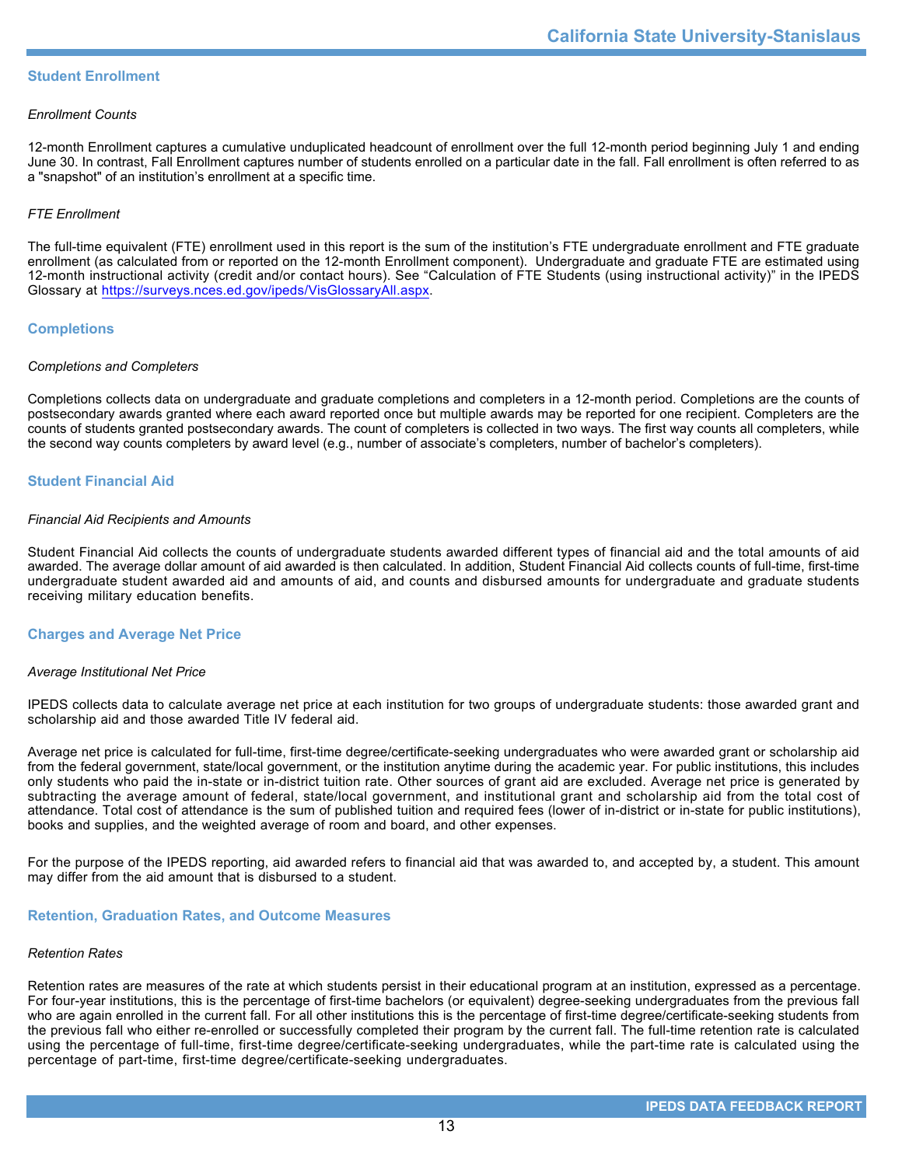## **Student Enrollment**

### *Enrollment Counts*

12-month Enrollment captures a cumulative unduplicated headcount of enrollment over the full 12-month period beginning July 1 and ending June 30. In contrast, Fall Enrollment captures number of students enrolled on a particular date in the fall. Fall enrollment is often referred to as a "snapshot" of an institution's enrollment at a specific time.

### *FTE Enrollment*

The full-time equivalent (FTE) enrollment used in this report is the sum of the institution's FTE undergraduate enrollment and FTE graduate enrollment (as calculated from or reported on the 12-month Enrollment component). Undergraduate and graduate FTE are estimated using 12-month instructional activity (credit and/or contact hours). See "Calculation of FTE Students (using instructional activity)" in the IPEDS Glossary at <https://surveys.nces.ed.gov/ipeds/VisGlossaryAll.aspx>.

## **Completions**

### *Completions and Completers*

Completions collects data on undergraduate and graduate completions and completers in a 12-month period. Completions are the counts of postsecondary awards granted where each award reported once but multiple awards may be reported for one recipient. Completers are the counts of students granted postsecondary awards. The count of completers is collected in two ways. The first way counts all completers, while the second way counts completers by award level (e.g., number of associate's completers, number of bachelor's completers).

## **Student Financial Aid**

### *Financial Aid Recipients and Amounts*

Student Financial Aid collects the counts of undergraduate students awarded different types of financial aid and the total amounts of aid awarded. The average dollar amount of aid awarded is then calculated. In addition, Student Financial Aid collects counts of full-time, first-time undergraduate student awarded aid and amounts of aid, and counts and disbursed amounts for undergraduate and graduate students receiving military education benefits.

### **Charges and Average Net Price**

### *Average Institutional Net Price*

IPEDS collects data to calculate average net price at each institution for two groups of undergraduate students: those awarded grant and scholarship aid and those awarded Title IV federal aid.

Average net price is calculated for full-time, first-time degree/certificate-seeking undergraduates who were awarded grant or scholarship aid from the federal government, state/local government, or the institution anytime during the academic year. For public institutions, this includes only students who paid the in-state or in-district tuition rate. Other sources of grant aid are excluded. Average net price is generated by subtracting the average amount of federal, state/local government, and institutional grant and scholarship aid from the total cost of attendance. Total cost of attendance is the sum of published tuition and required fees (lower of in-district or in-state for public institutions), books and supplies, and the weighted average of room and board, and other expenses.

For the purpose of the IPEDS reporting, aid awarded refers to financial aid that was awarded to, and accepted by, a student. This amount may differ from the aid amount that is disbursed to a student.

### **Retention, Graduation Rates, and Outcome Measures**

### *Retention Rates*

Retention rates are measures of the rate at which students persist in their educational program at an institution, expressed as a percentage. For four-year institutions, this is the percentage of first-time bachelors (or equivalent) degree-seeking undergraduates from the previous fall who are again enrolled in the current fall. For all other institutions this is the percentage of first-time degree/certificate-seeking students from the previous fall who either re-enrolled or successfully completed their program by the current fall. The full-time retention rate is calculated using the percentage of full-time, first-time degree/certificate-seeking undergraduates, while the part-time rate is calculated using the percentage of part-time, first-time degree/certificate-seeking undergraduates.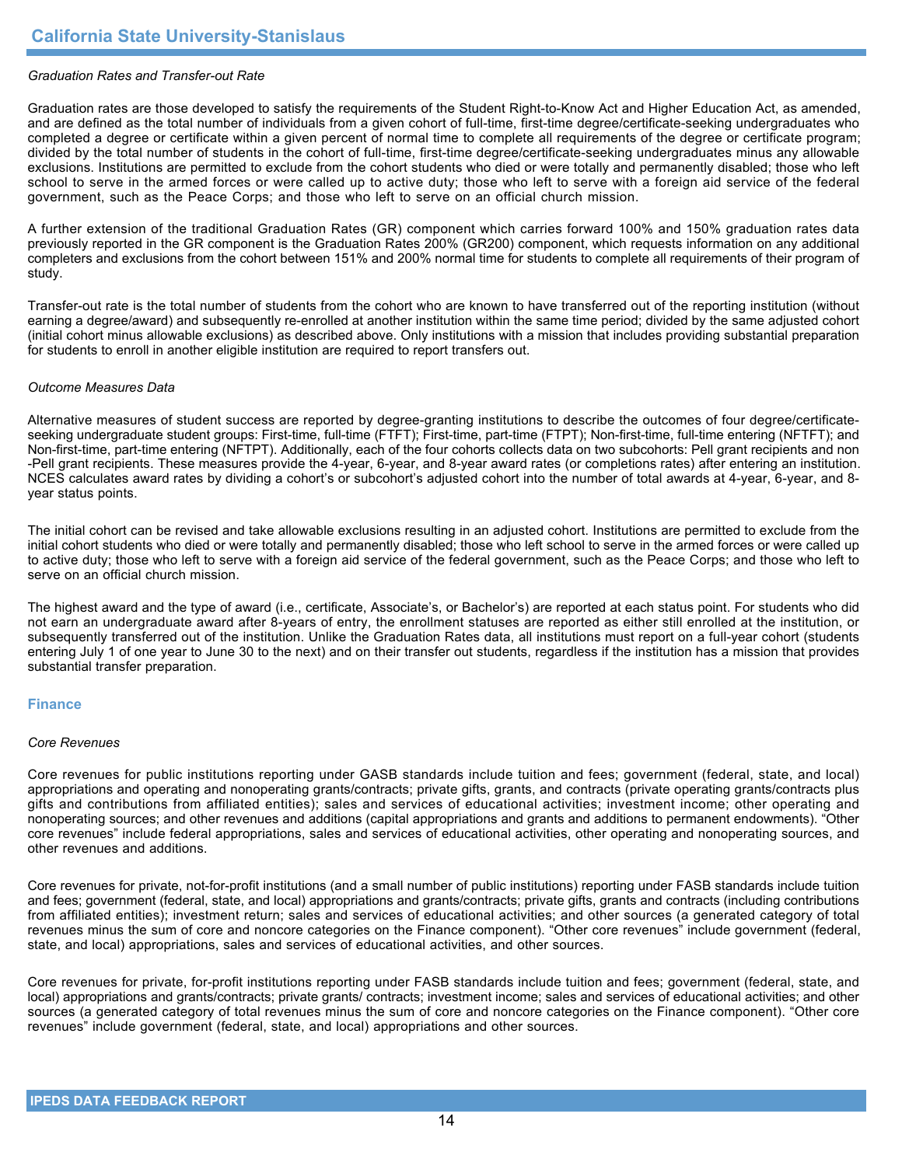## *Graduation Rates and Transfer-out Rate*

Graduation rates are those developed to satisfy the requirements of the Student Right-to-Know Act and Higher Education Act, as amended, and are defined as the total number of individuals from a given cohort of full-time, first-time degree/certificate-seeking undergraduates who completed a degree or certificate within a given percent of normal time to complete all requirements of the degree or certificate program; divided by the total number of students in the cohort of full-time, first-time degree/certificate-seeking undergraduates minus any allowable exclusions. Institutions are permitted to exclude from the cohort students who died or were totally and permanently disabled; those who left school to serve in the armed forces or were called up to active duty; those who left to serve with a foreign aid service of the federal government, such as the Peace Corps; and those who left to serve on an official church mission.

A further extension of the traditional Graduation Rates (GR) component which carries forward 100% and 150% graduation rates data previously reported in the GR component is the Graduation Rates 200% (GR200) component, which requests information on any additional completers and exclusions from the cohort between 151% and 200% normal time for students to complete all requirements of their program of study.

Transfer-out rate is the total number of students from the cohort who are known to have transferred out of the reporting institution (without earning a degree/award) and subsequently re-enrolled at another institution within the same time period; divided by the same adjusted cohort (initial cohort minus allowable exclusions) as described above. Only institutions with a mission that includes providing substantial preparation for students to enroll in another eligible institution are required to report transfers out.

### *Outcome Measures Data*

Alternative measures of student success are reported by degree-granting institutions to describe the outcomes of four degree/certificateseeking undergraduate student groups: First-time, full-time (FTFT); First-time, part-time (FTPT); Non-first-time, full-time entering (NFTFT); and Non-first-time, part-time entering (NFTPT). Additionally, each of the four cohorts collects data on two subcohorts: Pell grant recipients and non -Pell grant recipients. These measures provide the 4-year, 6-year, and 8-year award rates (or completions rates) after entering an institution. NCES calculates award rates by dividing a cohort's or subcohort's adjusted cohort into the number of total awards at 4-year, 6-year, and 8year status points.

The initial cohort can be revised and take allowable exclusions resulting in an adjusted cohort. Institutions are permitted to exclude from the initial cohort students who died or were totally and permanently disabled; those who left school to serve in the armed forces or were called up to active duty; those who left to serve with a foreign aid service of the federal government, such as the Peace Corps; and those who left to serve on an official church mission.

The highest award and the type of award (i.e., certificate, Associate's, or Bachelor's) are reported at each status point. For students who did not earn an undergraduate award after 8-years of entry, the enrollment statuses are reported as either still enrolled at the institution, or subsequently transferred out of the institution. Unlike the Graduation Rates data, all institutions must report on a full-year cohort (students entering July 1 of one year to June 30 to the next) and on their transfer out students, regardless if the institution has a mission that provides substantial transfer preparation.

### **Finance**

### *Core Revenues*

Core revenues for public institutions reporting under GASB standards include tuition and fees; government (federal, state, and local) appropriations and operating and nonoperating grants/contracts; private gifts, grants, and contracts (private operating grants/contracts plus gifts and contributions from affiliated entities); sales and services of educational activities; investment income; other operating and nonoperating sources; and other revenues and additions (capital appropriations and grants and additions to permanent endowments). "Other core revenues" include federal appropriations, sales and services of educational activities, other operating and nonoperating sources, and other revenues and additions.

Core revenues for private, not-for-profit institutions (and a small number of public institutions) reporting under FASB standards include tuition and fees; government (federal, state, and local) appropriations and grants/contracts; private gifts, grants and contracts (including contributions from affiliated entities); investment return; sales and services of educational activities; and other sources (a generated category of total revenues minus the sum of core and noncore categories on the Finance component). "Other core revenues" include government (federal, state, and local) appropriations, sales and services of educational activities, and other sources.

Core revenues for private, for-profit institutions reporting under FASB standards include tuition and fees; government (federal, state, and local) appropriations and grants/contracts; private grants/ contracts; investment income; sales and services of educational activities; and other sources (a generated category of total revenues minus the sum of core and noncore categories on the Finance component). "Other core revenues" include government (federal, state, and local) appropriations and other sources.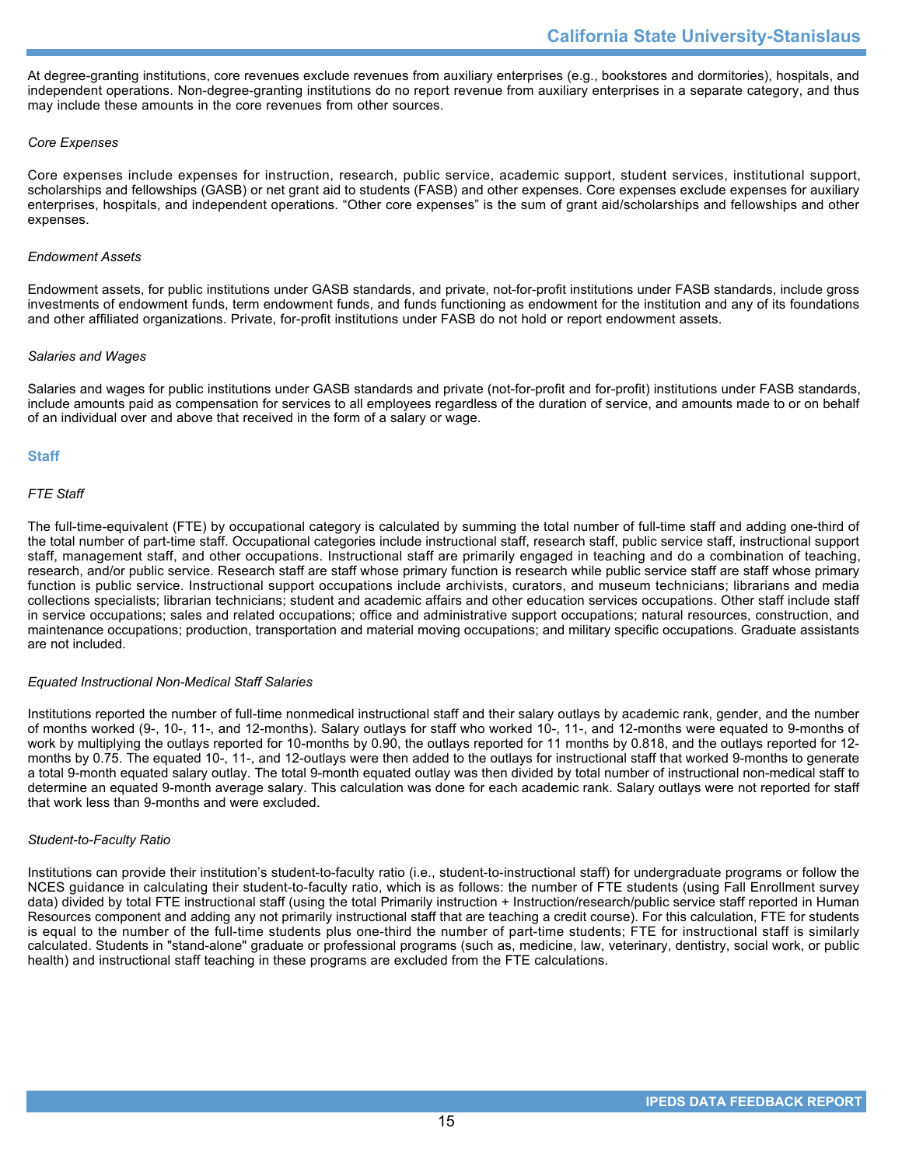At degree-granting institutions, core revenues exclude revenues from auxiliary enterprises (e.g., bookstores and dormitories), hospitals, and independent operations. Non-degree-granting institutions do no report revenue from auxiliary enterprises in a separate category, and thus may include these amounts in the core revenues from other sources.

## *Core Expenses*

Core expenses include expenses for instruction, research, public service, academic support, student services, institutional support, scholarships and fellowships (GASB) or net grant aid to students (FASB) and other expenses. Core expenses exclude expenses for auxiliary enterprises, hospitals, and independent operations. "Other core expenses" is the sum of grant aid/scholarships and fellowships and other expenses.

### *Endowment Assets*

Endowment assets, for public institutions under GASB standards, and private, not-for-profit institutions under FASB standards, include gross investments of endowment funds, term endowment funds, and funds functioning as endowment for the institution and any of its foundations and other affiliated organizations. Private, for-profit institutions under FASB do not hold or report endowment assets.

### *Salaries and Wages*

Salaries and wages for public institutions under GASB standards and private (not-for-profit and for-profit) institutions under FASB standards, include amounts paid as compensation for services to all employees regardless of the duration of service, and amounts made to or on behalf of an individual over and above that received in the form of a salary or wage.

## **Staff**

## *FTE Staff*

The full-time-equivalent (FTE) by occupational category is calculated by summing the total number of full-time staff and adding one-third of the total number of part-time staff. Occupational categories include instructional staff, research staff, public service staff, instructional support staff, management staff, and other occupations. Instructional staff are primarily engaged in teaching and do a combination of teaching, research, and/or public service. Research staff are staff whose primary function is research while public service staff are staff whose primary function is public service. Instructional support occupations include archivists, curators, and museum technicians; librarians and media collections specialists; librarian technicians; student and academic affairs and other education services occupations. Other staff include staff in service occupations; sales and related occupations; office and administrative support occupations; natural resources, construction, and maintenance occupations; production, transportation and material moving occupations; and military specific occupations. Graduate assistants are not included.

### *Equated Instructional Non-Medical Staff Salaries*

Institutions reported the number of full-time nonmedical instructional staff and their salary outlays by academic rank, gender, and the number of months worked (9-, 10-, 11-, and 12-months). Salary outlays for staff who worked 10-, 11-, and 12-months were equated to 9-months of work by multiplying the outlays reported for 10-months by 0.90, the outlays reported for 11 months by 0.818, and the outlays reported for 12 months by 0.75. The equated 10-, 11-, and 12-outlays were then added to the outlays for instructional staff that worked 9-months to generate a total 9-month equated salary outlay. The total 9-month equated outlay was then divided by total number of instructional non-medical staff to determine an equated 9-month average salary. This calculation was done for each academic rank. Salary outlays were not reported for staff that work less than 9-months and were excluded.

### *Student-to-Faculty Ratio*

Institutions can provide their institution's student-to-faculty ratio (i.e., student-to-instructional staff) for undergraduate programs or follow the NCES guidance in calculating their student-to-faculty ratio, which is as follows: the number of FTE students (using Fall Enrollment survey data) divided by total FTE instructional staff (using the total Primarily instruction + Instruction/research/public service staff reported in Human Resources component and adding any not primarily instructional staff that are teaching a credit course). For this calculation, FTE for students is equal to the number of the full-time students plus one-third the number of part-time students; FTE for instructional staff is similarly calculated. Students in "stand-alone" graduate or professional programs (such as, medicine, law, veterinary, dentistry, social work, or public health) and instructional staff teaching in these programs are excluded from the FTE calculations.